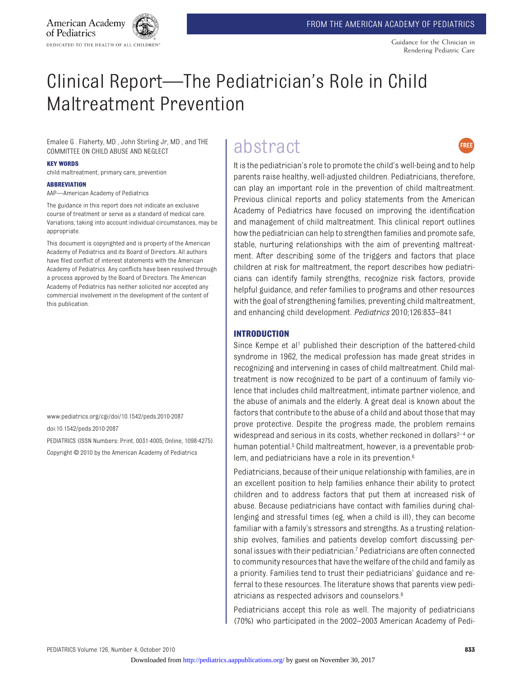**REE** 

# Clinical Report—The Pediatrician's Role in Child Maltreatment Prevention

Emalee G . Flaherty, MD , John Stirling Jr, MD , and THE COMMITTEE ON CHILD ABUSE AND NEGLECT

#### **KEY WORDS**

child maltreatment, primary care, prevention

#### **ABBREVIATION**

AAP—American Academy of Pediatrics

**American Academy** 

DEDICATED TO THE HEALTH OF ALL CHILDREN

of Pediatrics

The guidance in this report does not indicate an exclusive course of treatment or serve as a standard of medical care. Variations, taking into account individual circumstances, may be appropriate.

This document is copyrighted and is property of the American Academy of Pediatrics and its Board of Directors. All authors have filed conflict of interest statements with the American Academy of Pediatrics. Any conflicts have been resolved through a process approved by the Board of Directors. The American Academy of Pediatrics has neither solicited nor accepted any commercial involvement in the development of the content of this publication.

www.pediatrics.org/cgi/doi/10.1542/peds.2010-2087 doi:10.1542/peds.2010-2087

PEDIATRICS (ISSN Numbers: Print, 0031-4005; Online, 1098-4275). Copyright © 2010 by the American Academy of Pediatrics

# abstract

It is the pediatrician's role to promote the child's well-being and to help parents raise healthy, well-adjusted children. Pediatricians, therefore, can play an important role in the prevention of child maltreatment. Previous clinical reports and policy statements from the American Academy of Pediatrics have focused on improving the identification and management of child maltreatment. This clinical report outlines how the pediatrician can help to strengthen families and promote safe, stable, nurturing relationships with the aim of preventing maltreatment. After describing some of the triggers and factors that place children at risk for maltreatment, the report describes how pediatricians can identify family strengths, recognize risk factors, provide helpful guidance, and refer families to programs and other resources with the goal of strengthening families, preventing child maltreatment, and enhancing child development. *Pediatrics* 2010;126:833–841

#### **INTRODUCTION**

Since Kempe et al<sup>1</sup> published their description of the battered-child syndrome in 1962, the medical profession has made great strides in recognizing and intervening in cases of child maltreatment. Child maltreatment is now recognized to be part of a continuum of family violence that includes child maltreatment, intimate partner violence, and the abuse of animals and the elderly. A great deal is known about the factors that contribute to the abuse of a child and about those that may prove protective. Despite the progress made, the problem remains widespread and serious in its costs, whether reckoned in dollars<sup>2-4</sup> or human potential.<sup>5</sup> Child maltreatment, however, is a preventable problem, and pediatricians have a role in its prevention[.6](#page-6-0)

Pediatricians, because of their unique relationship with families, are in an excellent position to help families enhance their ability to protect children and to address factors that put them at increased risk of abuse. Because pediatricians have contact with families during challenging and stressful times (eg, when a child is ill), they can become familiar with a family's stressors and strengths. As a trusting relationship evolves, families and patients develop comfort discussing personal issues with their pediatrician[.7](#page-6-0) Pediatricians are often connected to community resources that have the welfare of the child and family as a priority. Families tend to trust their pediatricians' guidance and referral to these resources. The literature shows that parents view pediatricians as respected advisors and counselors[.8](#page-6-0)

Pediatricians accept this role as well. The majority of pediatricians (70%) who participated in the 2002–2003 American Academy of Pedi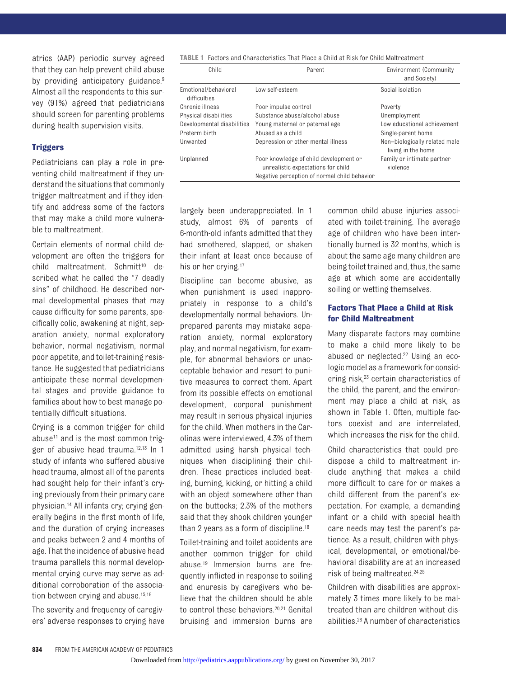atrics (AAP) periodic survey agreed that they can help prevent child abuse by providing anticipatory guidance.<sup>9</sup> Almost all the respondents to this survey (91%) agreed that pediatricians should screen for parenting problems during health supervision visits.

#### **Triggers**

Pediatricians can play a role in preventing child maltreatment if they understand the situations that commonly trigger maltreatment and if they identify and address some of the factors that may make a child more vulnerable to maltreatment.

Certain elements of normal child development are often the triggers for child maltreatment. Schmitt<sup>10</sup> described what he called the "7 deadly sins" of childhood. He described normal developmental phases that may cause difficulty for some parents, specifically colic, awakening at night, separation anxiety, normal exploratory behavior, normal negativism, normal poor appetite, and toilet-training resistance. He suggested that pediatricians anticipate these normal developmental stages and provide guidance to families about how to best manage potentially difficult situations.

Crying is a common trigger for child abuse<sup>11</sup> and is the most common trigger of abusive head trauma.<sup>12,13</sup> In 1 study of infants who suffered abusive head trauma, almost all of the parents had sought help for their infant's crying previously from their primary care physician[.14](#page-6-0) All infants cry; crying generally begins in the first month of life, and the duration of crying increases and peaks between 2 and 4 months of age. That the incidence of abusive head trauma parallels this normal developmental crying curve may serve as additional corroboration of the association between crying and abuse.<sup>15,16</sup>

The severity and frequency of caregivers' adverse responses to crying have

**TABLE 1** Factors and Characteristics That Place a Child at Risk for Child Maltreatment

| Child                                | Parent                                                                       | Environment (Community<br>and Society)              |
|--------------------------------------|------------------------------------------------------------------------------|-----------------------------------------------------|
| Emotional/behavioral<br>difficulties | Low self-esteem                                                              | Social isolation                                    |
| Chronic illness                      | Poor impulse control                                                         | Poverty                                             |
| Physical disabilities                | Substance abuse/alcohol abuse                                                | Unemployment                                        |
| Developmental disabilities           | Young maternal or paternal age                                               | Low educational achievement                         |
| Preterm birth                        | Abused as a child                                                            | Single-parent home                                  |
| Unwanted                             | Depression or other mental illness                                           | Non-biologically related male<br>living in the home |
| Unplanned                            | Poor knowledge of child development or<br>unrealistic expectations for child | Family or intimate partner<br>violence              |
|                                      | Negative perception of normal child behavior                                 |                                                     |

largely been underappreciated. In 1 study, almost 6% of parents of 6-month-old infants admitted that they had smothered, slapped, or shaken their infant at least once because of his or her crying.<sup>17</sup>

Discipline can become abusive, as when punishment is used inappropriately in response to a child's developmentally normal behaviors. Unprepared parents may mistake separation anxiety, normal exploratory play, and normal negativism, for example, for abnormal behaviors or unacceptable behavior and resort to punitive measures to correct them. Apart from its possible effects on emotional development, corporal punishment may result in serious physical injuries for the child. When mothers in the Carolinas were interviewed, 4.3% of them admitted using harsh physical techniques when disciplining their children. These practices included beating, burning, kicking, or hitting a child with an object somewhere other than on the buttocks; 2.3% of the mothers said that they shook children younger than 2 years as a form of discipline[.18](#page-6-0) Toilet-training and toilet accidents are another common trigger for child abuse[.19](#page-6-0) Immersion burns are frequently inflicted in response to soiling and enuresis by caregivers who believe that the children should be able to control these behaviors[.20,21](#page-7-0) Genital bruising and immersion burns are

common child abuse injuries associated with toilet-training. The average age of children who have been intentionally burned is 32 months, which is about the same age many children are being toilet trained and, thus, the same age at which some are accidentally soiling or wetting themselves.

#### **Factors That Place a Child at Risk for Child Maltreatment**

Many disparate factors may combine to make a child more likely to be abused or neglected.<sup>22</sup> Using an ecologic model as a framework for considering risk[,23](#page-7-0) certain characteristics of the child, the parent, and the environment may place a child at risk, as shown in Table 1. Often, multiple factors coexist and are interrelated, which increases the risk for the child.

Child characteristics that could predispose a child to maltreatment include anything that makes a child more difficult to care for or makes a child different from the parent's expectation. For example, a demanding infant or a child with special health care needs may test the parent's patience. As a result, children with physical, developmental, or emotional/behavioral disability are at an increased risk of being maltreated[.24,25](#page-7-0)

Children with disabilities are approximately 3 times more likely to be maltreated than are children without disabilities[.26](#page-7-0) A number of characteristics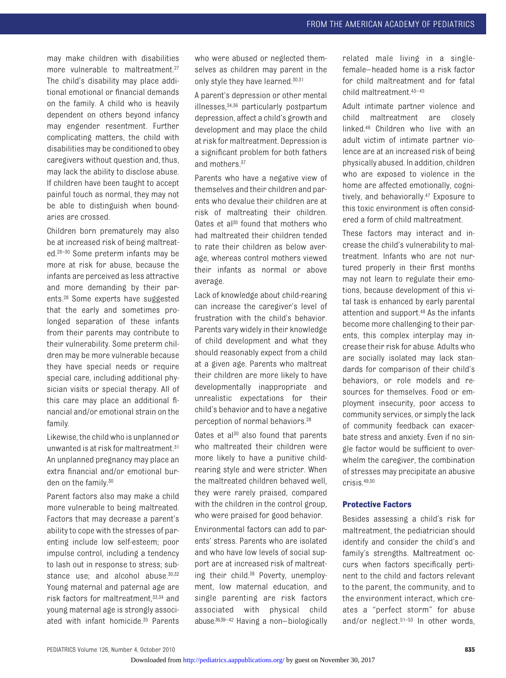may make children with disabilities more vulnerable to maltreatment.<sup>27</sup> The child's disability may place additional emotional or financial demands on the family. A child who is heavily dependent on others beyond infancy may engender resentment. Further complicating matters, the child with disabilities may be conditioned to obey caregivers without question and, thus, may lack the ability to disclose abuse. If children have been taught to accept painful touch as normal, they may not be able to distinguish when boundaries are crossed.

Children born prematurely may also be at increased risk of being maltreated[.28–30](#page-7-0) Some preterm infants may be more at risk for abuse, because the infants are perceived as less attractive and more demanding by their parents[.28](#page-7-0) Some experts have suggested that the early and sometimes prolonged separation of these infants from their parents may contribute to their vulnerability. Some preterm children may be more vulnerable because they have special needs or require special care, including additional physician visits or special therapy. All of this care may place an additional financial and/or emotional strain on the family.

Likewise, the child who is unplanned or unwanted is at risk for maltreatment[.31](#page-7-0) An unplanned pregnancy may place an extra financial and/or emotional burden on the family[.30](#page-7-0)

Parent factors also may make a child more vulnerable to being maltreated. Factors that may decrease a parent's ability to cope with the stresses of parenting include low self-esteem; poor impulse control, including a tendency to lash out in response to stress; substance use; and alcohol abuse. 30,32 Young maternal and paternal age are risk factors for maltreatment[,33,34](#page-7-0) and young maternal age is strongly associated with infant homicide.<sup>35</sup> Parents

who were abused or neglected themselves as children may parent in the only style they have learned.<sup>30,31</sup>

A parent's depression or other mental illnesses[,34,36](#page-7-0) particularly postpartum depression, affect a child's growth and development and may place the child at risk for maltreatment. Depression is a significant problem for both fathers and mothers[.37](#page-7-0)

Parents who have a negative view of themselves and their children and parents who devalue their children are at risk of maltreating their children. Oates et al<sup>30</sup> found that mothers who had maltreated their children tended to rate their children as below average, whereas control mothers viewed their infants as normal or above average.

Lack of knowledge about child-rearing can increase the caregiver's level of frustration with the child's behavior. Parents vary widely in their knowledge of child development and what they should reasonably expect from a child at a given age. Parents who maltreat their children are more likely to have developmentally inappropriate and unrealistic expectations for their child's behavior and to have a negative perception of normal behaviors[.28](#page-7-0)

Oates et al<sup>30</sup> also found that parents who maltreated their children were more likely to have a punitive childrearing style and were stricter. When the maltreated children behaved well, they were rarely praised, compared with the children in the control group, who were praised for good behavior.

Environmental factors can add to parents' stress. Parents who are isolated and who have low levels of social support are at increased risk of maltreating their child[.38](#page-7-0) Poverty, unemployment, low maternal education, and single parenting are risk factors associated with physical child abuse. $36,39-42$  Having a non-biologically related male living in a singlefemale–headed home is a risk factor for child maltreatment and for fatal child maltreatment.<sup>43-45</sup>

Adult intimate partner violence and child maltreatment are closely linked[.46](#page-7-0) Children who live with an adult victim of intimate partner violence are at an increased risk of being physically abused. In addition, children who are exposed to violence in the home are affected emotionally, cognitively, and behaviorally.<sup>47</sup> Exposure to this toxic environment is often considered a form of child maltreatment.

These factors may interact and increase the child's vulnerability to maltreatment. Infants who are not nurtured properly in their first months may not learn to regulate their emotions, because development of this vital task is enhanced by early parental attention and support.<sup>48</sup> As the infants become more challenging to their parents, this complex interplay may increase their risk for abuse. Adults who are socially isolated may lack standards for comparison of their child's behaviors, or role models and resources for themselves. Food or employment insecurity, poor access to community services, or simply the lack of community feedback can exacerbate stress and anxiety. Even if no single factor would be sufficient to overwhelm the caregiver, the combination of stresses may precipitate an abusive crisis[.49,50](#page-7-0)

## **Protective Factors**

Besides assessing a child's risk for maltreatment, the pediatrician should identify and consider the child's and family's strengths. Maltreatment occurs when factors specifically pertinent to the child and factors relevant to the parent, the community, and to the environment interact, which creates a "perfect storm" for abuse and/or neglect. $51-53$  In other words,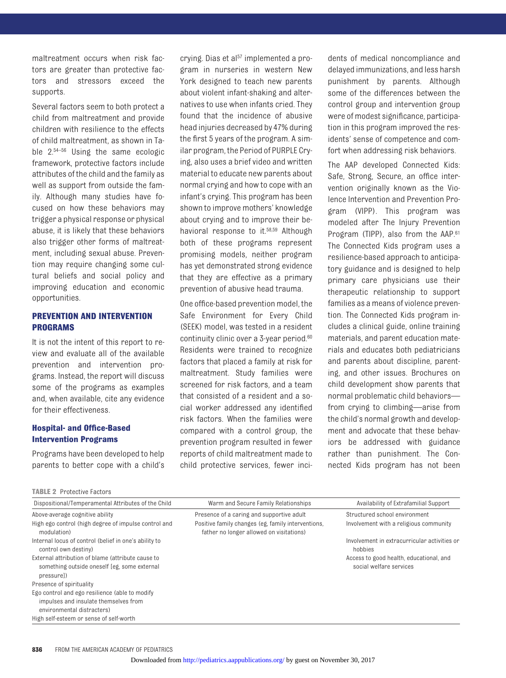maltreatment occurs when risk factors are greater than protective factors and stressors exceed the supports.

Several factors seem to both protect a child from maltreatment and provide children with resilience to the effects of child maltreatment, as shown in Table 2[.54–56](#page-7-0) Using the same ecologic framework, protective factors include attributes of the child and the family as well as support from outside the family. Although many studies have focused on how these behaviors may trigger a physical response or physical abuse, it is likely that these behaviors also trigger other forms of maltreatment, including sexual abuse. Prevention may require changing some cultural beliefs and social policy and improving education and economic opportunities.

# **PREVENTION AND INTERVENTION PROGRAMS**

It is not the intent of this report to review and evaluate all of the available prevention and intervention programs. Instead, the report will discuss some of the programs as examples and, when available, cite any evidence for their effectiveness.

# **Hospital- and Office-Based Intervention Programs**

Programs have been developed to help parents to better cope with a child's crying. Dias et al<sup>57</sup> implemented a program in nurseries in western New York designed to teach new parents about violent infant-shaking and alternatives to use when infants cried. They found that the incidence of abusive head injuries decreased by 47% during the first 5 years of the program. A similar program, the Period of PURPLE Crying, also uses a brief video and written material to educate new parents about normal crying and how to cope with an infant's crying. This program has been shown to improve mothers' knowledge about crying and to improve their behavioral response to it[.58,59](#page-7-0) Although both of these programs represent promising models, neither program has yet demonstrated strong evidence that they are effective as a primary prevention of abusive head trauma.

One office-based prevention model, the Safe Environment for Every Child (SEEK) model, was tested in a resident continuity clinic over a 3-year period[.60](#page-7-0) Residents were trained to recognize factors that placed a family at risk for maltreatment. Study families were screened for risk factors, and a team that consisted of a resident and a social worker addressed any identified risk factors. When the families were compared with a control group, the prevention program resulted in fewer reports of child maltreatment made to child protective services, fewer incidents of medical noncompliance and delayed immunizations, and less harsh punishment by parents. Although some of the differences between the control group and intervention group were of modest significance, participation in this program improved the residents' sense of competence and comfort when addressing risk behaviors.

The AAP developed Connected Kids: Safe, Strong, Secure, an office intervention originally known as the Violence Intervention and Prevention Program (VIPP). This program was modeled after The Injury Prevention Program (TIPP), also from the AAP.<sup>61</sup> The Connected Kids program uses a resilience-based approach to anticipatory guidance and is designed to help primary care physicians use their therapeutic relationship to support families as a means of violence prevention. The Connected Kids program includes a clinical guide, online training materials, and parent education materials and educates both pediatricians and parents about discipline, parenting, and other issues. Brochures on child development show parents that normal problematic child behaviors from crying to climbing—arise from the child's normal growth and development and advocate that these behaviors be addressed with guidance rather than punishment. The Connected Kids program has not been

| <b>TABLE 2</b> Protective Factors |  |
|-----------------------------------|--|
|                                   |  |

| Dispositional/Temperamental Attributes of the Child                                                              | Warm and Secure Family Relationships                                                           | Availability of Extrafamilial Support                              |
|------------------------------------------------------------------------------------------------------------------|------------------------------------------------------------------------------------------------|--------------------------------------------------------------------|
| Above-average cognitive ability                                                                                  | Presence of a caring and supportive adult                                                      | Structured school environment                                      |
| High ego control (high degree of impulse control and<br>modulation)                                              | Positive family changes (eg. family interventions,<br>father no longer allowed on visitations) | Involvement with a religious community                             |
| Internal locus of control (belief in one's ability to<br>control own destiny)                                    |                                                                                                | Involvement in extracurricular activities or<br>hobbies            |
| External attribution of blame (attribute cause to<br>something outside oneself [eg. some external]<br>pressure]) |                                                                                                | Access to good health, educational, and<br>social welfare services |
| Presence of spirituality                                                                                         |                                                                                                |                                                                    |
| Ego control and ego resilience (able to modify                                                                   |                                                                                                |                                                                    |
| impulses and insulate themselves from                                                                            |                                                                                                |                                                                    |
| environmental distracters)                                                                                       |                                                                                                |                                                                    |

High self-esteem or sense of self-worth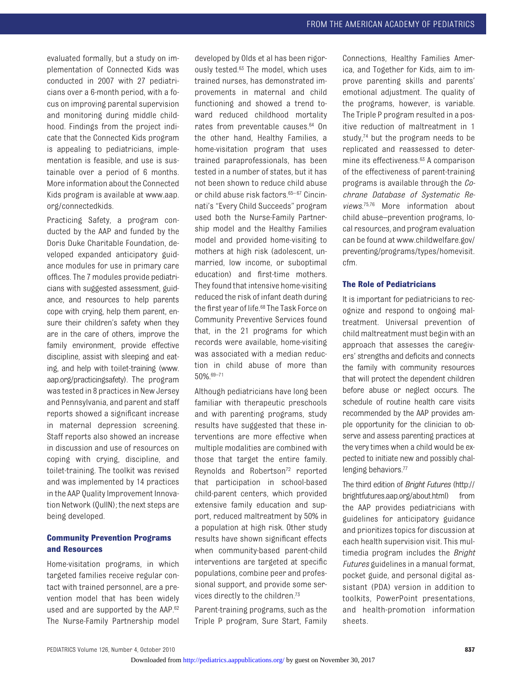evaluated formally, but a study on implementation of Connected Kids was conducted in 2007 with 27 pediatricians over a 6-month period, with a focus on improving parental supervision and monitoring during middle childhood. Findings from the project indicate that the Connected Kids program is appealing to pediatricians, implementation is feasible, and use is sustainable over a period of 6 months. More information about the Connected Kids program is available at [www.aap.](www.aap.org/connectedkids) [org/connectedkids.](www.aap.org/connectedkids)

Practicing Safety, a program conducted by the AAP and funded by the Doris Duke Charitable Foundation, developed expanded anticipatory guidance modules for use in primary care offices. The 7 modules provide pediatricians with suggested assessment, guidance, and resources to help parents cope with crying, help them parent, ensure their children's safety when they are in the care of others, improve the family environment, provide effective discipline, assist with sleeping and eating, and help with toilet-training [\(www.](www.aap.org/practicingsafety) [aap.org/practicingsafety\)](www.aap.org/practicingsafety). The program was tested in 8 practices in New Jersey and Pennsylvania, and parent and staff reports showed a significant increase in maternal depression screening. Staff reports also showed an increase in discussion and use of resources on coping with crying, discipline, and toilet-training. The toolkit was revised and was implemented by 14 practices in the AAP Quality Improvement Innovation Network (QuIIN); the next steps are being developed.

## **Community Prevention Programs and Resources**

Home-visitation programs, in which targeted families receive regular contact with trained personnel, are a prevention model that has been widely used and are supported by the AAP.<sup>62</sup> The Nurse-Family Partnership model

developed by Olds et al has been rigorously tested.<sup>63</sup> The model, which uses trained nurses, has demonstrated improvements in maternal and child functioning and showed a trend toward reduced childhood mortality rates from preventable causes[.64](#page-8-0) On the other hand, Healthy Families, a home-visitation program that uses trained paraprofessionals, has been tested in a number of states, but it has not been shown to reduce child abuse or child abuse risk factors.<sup>65–67</sup> Cincinnati's "Every Child Succeeds" program used both the Nurse-Family Partnership model and the Healthy Families model and provided home-visiting to mothers at high risk (adolescent, unmarried, low income, or suboptimal education) and first-time mothers. They found that intensive home-visiting reduced the risk of infant death during the first year of life[.68](#page-8-0) The Task Force on Community Preventive Services found that, in the 21 programs for which records were available, home-visiting was associated with a median reduction in child abuse of more than 50%[.69–71](#page-8-0)

Although pediatricians have long been familiar with therapeutic preschools and with parenting programs, study results have suggested that these interventions are more effective when multiple modalities are combined with those that target the entire family. Reynolds and Robertson<sup>72</sup> reported that participation in school-based child-parent centers, which provided extensive family education and support, reduced maltreatment by 50% in a population at high risk. Other study results have shown significant effects when community-based parent-child interventions are targeted at specific populations, combine peer and professional support, and provide some services directly to the children[.73](#page-8-0)

Parent-training programs, such as the Triple P program, Sure Start, Family Connections, Healthy Families America, and Together for Kids, aim to improve parenting skills and parents' emotional adjustment. The quality of the programs, however, is variable. The Triple P program resulted in a positive reduction of maltreatment in 1 study[,74](#page-8-0) but the program needs to be replicated and reassessed to determine its effectiveness[.63](#page-8-0) A comparison of the effectiveness of parent-training programs is available through the *Cochrane Database of Systematic Reviews*. [75,76](#page-8-0) More information about child abuse–prevention programs, local resources, and program evaluation can be found at www.childwelfare.gov/ preventing/programs/types/homevisit. cfm.

#### **The Role of Pediatricians**

It is important for pediatricians to recognize and respond to ongoing maltreatment. Universal prevention of child maltreatment must begin with an approach that assesses the caregivers' strengths and deficits and connects the family with community resources that will protect the dependent children before abuse or neglect occurs. The schedule of routine health care visits recommended by the AAP provides ample opportunity for the clinician to observe and assess parenting practices at the very times when a child would be expected to initiate new and possibly challenging behaviors.<sup>77</sup>

The third edition of *Bright Futures* (http:// brightfutures.aap.org/about.html) from the AAP provides pediatricians with guidelines for anticipatory guidance and prioritizes topics for discussion at each health supervision visit. This multimedia program includes the *Bright Futures* guidelines in a manual format, pocket guide, and personal digital assistant (PDA) version in addition to toolkits, PowerPoint presentations, and health-promotion information sheets.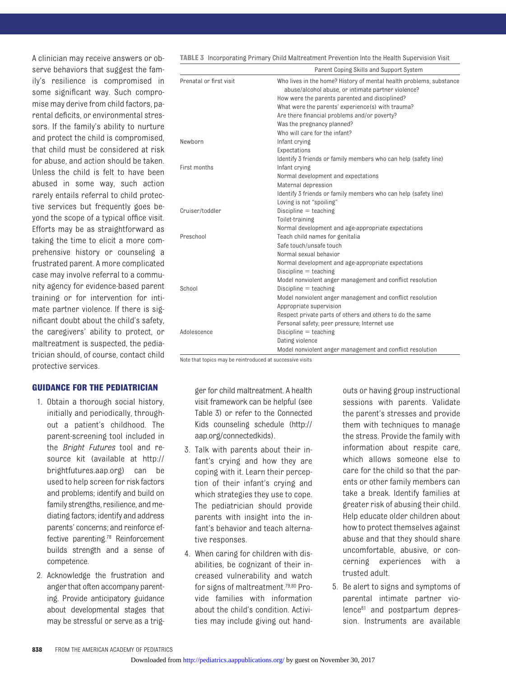A clinician may receive answers or observe behaviors that suggest the family's resilience is compromised in some significant way. Such compromise may derive from child factors, parental deficits, or environmental stressors. If the family's ability to nurture and protect the child is compromised, that child must be considered at risk for abuse, and action should be taken. Unless the child is felt to have been abused in some way, such action rarely entails referral to child protective services but frequently goes beyond the scope of a typical office visit. Efforts may be as straightforward as taking the time to elicit a more comprehensive history or counseling a frustrated parent. A more complicated case may involve referral to a community agency for evidence-based parent training or for intervention for intimate partner violence. If there is significant doubt about the child's safety, the caregivers' ability to protect, or maltreatment is suspected, the pediatrician should, of course, contact child protective services.

## **GUIDANCE FOR THE PEDIATRICIAN**

- 1. Obtain a thorough social history, initially and periodically, throughout a patient's childhood. The parent-screening tool included in the *Bright Futures* tool and resource kit (available at [http://](http://brightfutures.aap.org) [brightfutures.aap.org\)](http://brightfutures.aap.org) can be used to help screen for risk factors and problems; identify and build on family strengths, resilience, and mediating factors; identify and address parents' concerns; and reinforce effective parenting.<sup>78</sup> Reinforcement builds strength and a sense of competence.
- 2. Acknowledge the frustration and anger that often accompany parenting. Provide anticipatory guidance about developmental stages that may be stressful or serve as a trig-

**TABLE 3** Incorporating Primary Child Maltreatment Prevention Into the Health Supervision Visit

|                         | Parent Coping Skills and Support System                             |
|-------------------------|---------------------------------------------------------------------|
| Prenatal or first visit | Who lives in the home? History of mental health problems, substance |
|                         | abuse/alcohol abuse, or intimate partner violence?                  |
|                         | How were the parents parented and disciplined?                      |
|                         | What were the parents' experience(s) with trauma?                   |
|                         | Are there financial problems and/or poverty?                        |
|                         | Was the pregnancy planned?                                          |
|                         | Who will care for the infant?                                       |
| Newborn                 | Infant crying                                                       |
|                         | Expectations                                                        |
|                         | Identify 3 friends or family members who can help (safety line)     |
| First months            | Infant crying                                                       |
|                         | Normal development and expectations                                 |
|                         | Maternal depression                                                 |
|                         | Identify 3 friends or family members who can help (safety line)     |
|                         | Loving is not "spoiling"                                            |
| Cruiser/toddler         | $Discpline = teaching$                                              |
|                         | Toilet-training                                                     |
|                         | Normal development and age-appropriate expectations                 |
| Preschool               | Teach child names for genitalia                                     |
|                         | Safe touch/unsafe touch                                             |
|                         | Normal sexual behavior                                              |
|                         | Normal development and age-appropriate expectations                 |
|                         | $Discpline = teaching$                                              |
|                         | Model nonviolent anger management and conflict resolution           |
| School                  | $Discpline = teaching$                                              |
|                         | Model nonviolent anger management and conflict resolution           |
|                         | Appropriate supervision                                             |
|                         | Respect private parts of others and others to do the same           |
|                         | Personal safety; peer pressure; Internet use                        |
| Adolescence             | $Discpline = teaching$                                              |
|                         | Dating violence                                                     |
|                         | Model nonviolent anger management and conflict resolution           |

Note that topics may be reintroduced at successive visits

ger for child maltreatment. A health visit framework can be helpful (see Table 3) or refer to the Connected Kids counseling schedule [\(http://](http://aap.org/connectedkids) [aap.org/connectedkids\)](http://aap.org/connectedkids).

- 3. Talk with parents about their infant's crying and how they are coping with it. Learn their perception of their infant's crying and which strategies they use to cope. The pediatrician should provide parents with insight into the infant's behavior and teach alternative responses.
- 4. When caring for children with disabilities, be cognizant of their increased vulnerability and watch for signs of maltreatment[.79,80](#page-8-0) Provide families with information about the child's condition. Activities may include giving out hand-

outs or having group instructional sessions with parents. Validate the parent's stresses and provide them with techniques to manage the stress. Provide the family with information about respite care, which allows someone else to care for the child so that the parents or other family members can take a break. Identify families at greater risk of abusing their child. Help educate older children about how to protect themselves against abuse and that they should share uncomfortable, abusive, or concerning experiences with a trusted adult.

5. Be alert to signs and symptoms of parental intimate partner violenc[e81](#page-8-0) and postpartum depression. Instruments are available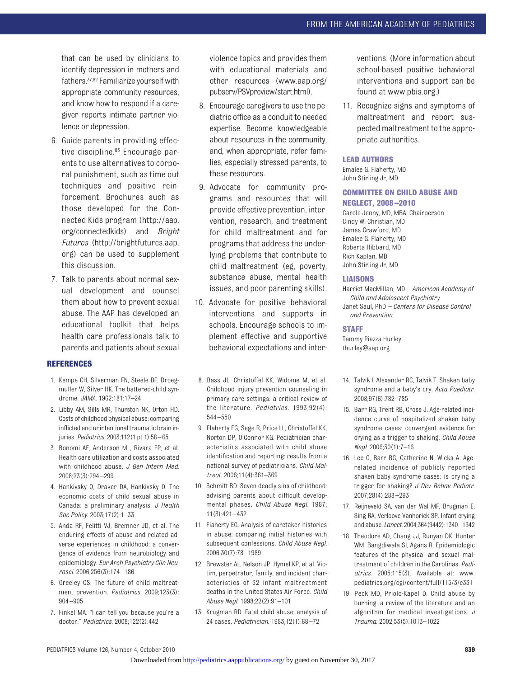<span id="page-6-0"></span>that can be used by clinicians to identify depression in mothers and fathers[.37](#page-7-0)[,82](#page-8-0) Familiarize yourself with appropriate community resources, and know how to respond if a caregiver reports intimate partner violence or depression.

- 6. Guide parents in providing effective discipline[.83](#page-8-0) Encourage parents to use alternatives to corporal punishment, such as time out techniques and positive reinforcement. Brochures such as those developed for the Connected Kids program (http://aap. org/connectedkids) and *Bright Futures* [\(http://brightfutures.aap.](http://brightfutures.aap.org) [org\)](http://brightfutures.aap.org) can be used to supplement this discussion.
- 7. Talk to parents about normal sexual development and counsel them about how to prevent sexual abuse. The AAP has developed an educational toolkit that helps health care professionals talk to parents and patients about sexual

#### **REFERENCES**

- 1. Kempe CH, Silverman FN, Steele BF, Droegmuller W, Silver HK. The battered-child syndrome. *JAMA*. 1962;181:17–24
- 2. Libby AM, Sills MR, Thurston NK, Orton HD. Costs of childhood physical abuse: comparing inflicted and unintentional traumatic brain injuries. *Pediatrics*. 2003;112(1 pt 1):58 –65
- 3. Bonomi AE, Anderson ML, Rivara FP, et al. Health care utilization and costs associated with childhood abuse. *J Gen Intern Med*. 2008;23(3):294 –299
- 4. Hankivsky O, Draker DA, Hankivsky O. The economic costs of child sexual abuse in Canada: a preliminary analysis. *J Health Soc Policy*. 2003;17(2):1–33
- 5. Anda RF, Felitti VJ, Bremner JD, et al. The enduring effects of abuse and related adverse experiences in childhood: a convergence of evidence from neurobiology and epidemiology. *Eur Arch Psychiatry Clin Neurosci*. 2006;256(3):174 –186
- 6. Greeley CS. The future of child maltreatment prevention. *Pediatrics*. 2009;123(3): 904 –905
- 7. Finkel MA. "I can tell you because you're a doctor." *Pediatrics*. 2008;122(2):442

violence topics and provides them with educational materials and other resources (www.aap.org/ pubserv/PSVpreview/start.html).

- 8. Encourage caregivers to use the pediatric office as a conduit to needed expertise. Become knowledgeable about resources in the community, and, when appropriate, refer families, especially stressed parents, to these resources.
- 9. Advocate for community programs and resources that will provide effective prevention, intervention, research, and treatment for child maltreatment and for programs that address the underlying problems that contribute to child maltreatment (eg, poverty, substance abuse, mental health issues, and poor parenting skills).
- 10. Advocate for positive behavioral interventions and supports in schools. Encourage schools to implement effective and supportive behavioral expectations and inter-
- 8. Bass JL, Christoffel KK, Widome M, et al. Childhood injury prevention counseling in primary care settings: a critical review of the literature. *Pediatrics*. 1993;92(4): 544 –550
- 9. Flaherty EG, Sege R, Price LL, Christoffel KK, Norton DP, O'Connor KG. Pediatrician characteristics associated with child abuse identification and reporting: results from a national survey of pediatricians. *Child Maltreat*. 2006;11(4):361–369
- 10. Schmitt BD. Seven deadly sins of childhood: advising parents about difficult developmental phases. *Child Abuse Negl*. 1987; 11(3):421– 432
- 11. Flaherty EG. Analysis of caretaker histories in abuse: comparing initial histories with subsequent confessions. *Child Abuse Negl*. 2006;30(7):78 –1989
- 12. Brewster AL, Nelson JP, Hymel KP, et al. Victim, perpetrator, family, and incident characteristics of 32 infant maltreatment deaths in the United States Air Force. *Child Abuse Negl*. 1998;22(2):91–101
- 13. Krugman RD. Fatal child abuse: analysis of 24 cases. *Pediatrician*. 1983;12(1):68 –72

ventions. (More information about school-based positive behavioral interventions and support can be found at [www.pbis.org.](www.pbis.org))

11. Recognize signs and symptoms of maltreatment and report suspected maltreatment to the appropriate authorities.

#### **LEAD AUTHORS**

Emalee G. Flaherty, MD John Stirling Jr, MD

#### **COMMITTEE ON CHILD ABUSE AND NEGLECT, 2008 –2010**

Carole Jenny, MD, MBA, Chairperson Cindy W. Christian, MD James Crawford, MD Emalee G. Flaherty, MD Roberta Hibbard, MD Rich Kaplan, MD John Stirling Jr, MD

#### **LIAISONS**

Harriet MacMillan, MD *– American Academy of Child and Adolescent Psychiatry* Janet Saul, PhD *– Centers for Disease Control and Prevention*

#### **STAFF**

Tammy Piazza Hurley thurley@aap.org

- 14. Talvik I, Alexander RC, Talvik T. Shaken baby syndrome and a baby's cry. *Acta Paediatr*. 2008;97(6):782–785
- 15. Barr RG, Trent RB, Cross J. Age-related incidence curve of hospitalized shaken baby syndrome cases: convergent evidence for crying as a trigger to shaking. *Child Abuse Negl*. 2006;30(1):7–16
- 16. Lee C, Barr RG, Catherine N, Wicks A. Agerelated incidence of publicly reported shaken baby syndrome cases: is crying a trigger for shaking? *J Dev Behav Pediatr*. 2007;28(4):288 –293
- 17. Reijneveld SA, van der Wal MF, Brugman E, Sing RA, Verloove-Vanhorick SP. Infant crying and abuse.*Lancet*. 2004;364(9442):1340 –1342
- 18. Theodore AD, Chang JJ, Runyan DK, Hunter WM, Bangdiwala SI, Agans R. Epidemiologic features of the physical and sexual maltreatment of children in the Carolinas. *Pediatrics*. 2005;115(3). Available at: [www.](www.pediatrics.org/cgi/content/full/115/3/e331) [pediatrics.org/cgi/content/full/115/3/e331](www.pediatrics.org/cgi/content/full/115/3/e331)
- 19. Peck MD, Priolo-Kapel D. Child abuse by burning: a review of the literature and an algorithm for medical investigations. *J Trauma*. 2002;53(5):1013–1022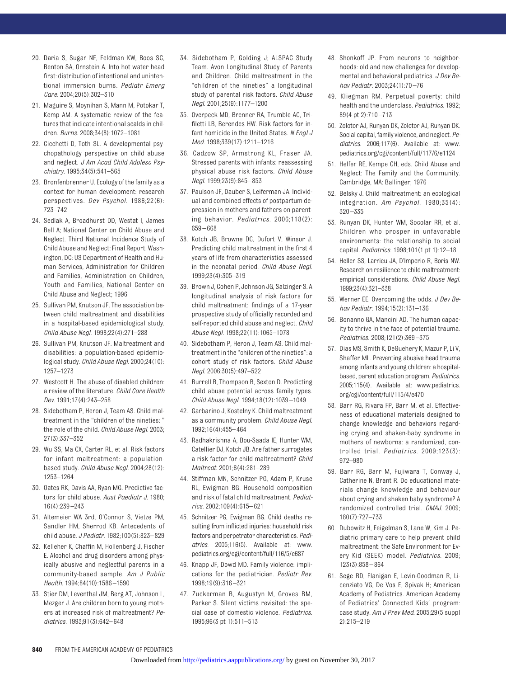- <span id="page-7-0"></span>20. Daria S, Sugar NF, Feldman KW, Boos SC, Benton SA, Ornstein A. Into hot water head first: distribution of intentional and unintentional immersion burns. *Pediatr Emerg Care*. 2004;20(5):302–310
- 21. Maguire S, Moynihan S, Mann M, Potokar T, Kemp AM. A systematic review of the features that indicate intentional scalds in children. *Burns*. 2008;34(8):1072–1081
- 22. Cicchetti D, Toth SL. A developmental psychopathology perspective on child abuse and neglect. *J Am Acad Child Adolesc Psychiatry*. 1995;34(5):541–565
- 23. Bronfenbrenner U. Ecology of the family as a context for human development: research perspectives. *Dev Psychol*. 1986;22(6): 723–742
- 24. Sedlak A, Broadhurst DD, Westat I, James Bell A; National Center on Child Abuse and Neglect. Third National Incidence Study of Child Abuse and Neglect: Final Report. Washington, DC: US Department of Health and Human Services, Administration for Children and Families, Administration on Children, Youth and Families, National Center on Child Abuse and Neglect; 1996
- 25. Sullivan PM, Knutson JF. The association between child maltreatment and disabilities in a hospital-based epidemiological study. *Child Abuse Negl*. 1998;22(4):271–288
- 26. Sullivan PM, Knutson JF. Maltreatment and disabilities: a population-based epidemiological study. *Child Abuse Negl*. 2000;24(10): 1257–1273
- 27. Westcott H. The abuse of disabled children: a review of the literature. *Child Care Health Dev*. 1991;17(4):243–258
- 28. Sidebotham P, Heron J, Team AS. Child maltreatment in the "children of the nineties: " the role of the child. *Child Abuse Negl*. 2003; 27(3):337–352
- 29. Wu SS, Ma CX, Carter RL, et al. Risk factors for infant maltreatment: a populationbased study. *Child Abuse Negl*. 2004;28(12): 1253–1264
- 30. Oates RK, Davis AA, Ryan MG. Predictive factors for child abuse. *Aust Paediatr J*. 1980; 16(4):239 –243
- 31. Altemeier WA 3rd, O'Connor S, Vietze PM, Sandler HM, Sherrod KB. Antecedents of child abuse. *J Pediatr*. 1982;100(5):823– 829
- 32. Kelleher K, Chaffin M, Hollenberg J, Fischer E. Alcohol and drug disorders among physically abusive and neglectful parents in a community-based sample. *Am J Public Health*. 1994;84(10):1586 –1590
- 33. Stier DM, Leventhal JM, Berg AT, Johnson L, Mezger J. Are children born to young mothers at increased risk of maltreatment? *Pediatrics*. 1993;91(3):642– 648
- 34. Sidebotham P, Golding J; ALSPAC Study Team. Avon Longitudinal Study of Parents and Children. Child maltreatment in the "children of the nineties" a longitudinal study of parental risk factors. *Child Abuse Negl*. 2001;25(9):1177–1200
- 35. Overpeck MD, Brenner RA, Trumble AC, Trifiletti LB, Berendes HW. Risk factors for infant homicide in the United States. *N Engl J Med*. 1998;339(17):1211–1216
- 36. Cadzow SP, Armstrong KL, Fraser JA. Stressed parents with infants: reassessing physical abuse risk factors. *Child Abuse Negl*. 1999;23(9):845– 853
- 37. Paulson JF, Dauber S, Leiferman JA. Individual and combined effects of postpartum depression in mothers and fathers on parenting behavior. *Pediatrics*. 2006;118(2): 659 – 668
- 38. Kotch JB, Browne DC, Dufort V, Winsor J. Predicting child maltreatment in the first 4 years of life from characteristics assessed in the neonatal period. *Child Abuse Negl*. 1999;23(4):305–319
- 39. Brown J, Cohen P, Johnson JG, Salzinger S. A longitudinal analysis of risk factors for child maltreatment: findings of a 17-year prospective study of officially recorded and self-reported child abuse and neglect. *Child Abuse Negl*. 1998;22(11):1065–1078
- 40. Sidebotham P, Heron J, Team AS. Child maltreatment in the "children of the nineties": a cohort study of risk factors. *Child Abuse Negl*. 2006;30(5):497–522
- 41. Burrell B, Thompson B, Sexton D. Predicting child abuse potential across family types. *Child Abuse Negl*. 1994;18(12):1039 –1049
- 42. Garbarino J, Kostelny K. Child maltreatment as a community problem. *Child Abuse Negl*. 1992;16(4):455– 464
- 43. Radhakrishna A, Bou-Saada IE, Hunter WM, Catellier DJ, Kotch JB. Are father surrogates a risk factor for child maltreatment? *Child Maltreat*. 2001;6(4):281–289
- 44. Stiffman MN, Schnitzer PG, Adam P, Kruse RL, Ewigman BG. Household composition and risk of fatal child maltreatment. *Pediatrics*. 2002;109(4):615– 621
- 45. Schnitzer PG, Ewigman BG. Child deaths resulting from inflicted injuries: household risk factors and perpetrator characteristics. *Pediatrics*. 2005;116(5). Available at: www. pediatrics.org/cgi/content/full/116/5/e687
- 46. Knapp JF, Dowd MD. Family violence: implications for the pediatrician. *Pediatr Rev*. 1998;19(9):316 –321
- 47. Zuckerman B, Augustyn M, Groves BM, Parker S. Silent victims revisited: the special case of domestic violence. *Pediatrics*. 1995;96(3 pt 1):511–513
- 48. Shonkoff JP. From neurons to neighborhoods: old and new challenges for developmental and behavioral pediatrics. *J Dev Behav Pediatr*. 2003;24(1):70 –76
- 49. Kliegman RM. Perpetual poverty: child health and the underclass. *Pediatrics*. 1992; 89(4 pt 2):710 –713
- 50. Zolotor AJ, Runyan DK, Zolotor AJ, Runyan DK. Social capital, family violence, and neglect. *Pediatrics*. 2006;117(6). Available at: www. pediatrics.org/cgi/content/full/117/6/e1124
- 51. Helfer RE, Kempe CH, eds. Child Abuse and Neglect: The Family and the Community. Cambridge, MA: Ballinger; 1976
- 52. Belsky J. Child maltreatment: an ecological integration. *Am Psychol*. 1980;35(4): 320 –335
- 53. Runyan DK, Hunter WM, Socolar RR, et al. Children who prosper in unfavorable environments: the relationship to social capital. *Pediatrics*. 1998;101(1 pt 1):12–18
- 54. Heller SS, Larrieu JA, D'Imperio R, Boris NW. Research on resilience to child maltreatment: empirical considerations. *Child Abuse Negl*. 1999;23(4):321–338
- 55. Werner EE. Overcoming the odds. *J Dev Behav Pediatr*. 1994;15(2):131–136
- 56. Bonanno GA, Mancini AD. The human capacity to thrive in the face of potential trauma. *Pediatrics*. 2008;121(2):369 –375
- 57. Dias MS, Smith K, DeGuehery K, Mazur P, Li V, Shaffer ML. Preventing abusive head trauma among infants and young children: a hospitalbased, parent education program. *Pediatrics*. 2005;115(4). Available at: www.pediatrics. org/cgi/content/full/115/4/e470
- 58. Barr RG, Rivara FP, Barr M, et al. Effectiveness of educational materials designed to change knowledge and behaviors regarding crying and shaken-baby syndrome in mothers of newborns: a randomized, controlled trial. *Pediatrics*. 2009;123(3): 972–980
- 59. Barr RG, Barr M, Fujiwara T, Conway J, Catherine N, Brant R. Do educational materials change knowledge and behaviour about crying and shaken baby syndrome? A randomized controlled trial. *CMAJ*. 2009; 180(7):727–733
- 60. Dubowitz H, Feigelman S, Lane W, Kim J. Pediatric primary care to help prevent child maltreatment: the Safe Environment for Every Kid (SEEK) model. *Pediatrics*. 2009; 123(3):858 – 864
- 61. Sege RD, Flanigan E, Levin-Goodman R, Licenziato VG, De Vos E, Spivak H; American Academy of Pediatrics. American Academy of Pediatrics' Connected Kids' program: case study. *Am J Prev Med*. 2005;29(5 suppl 2):215–219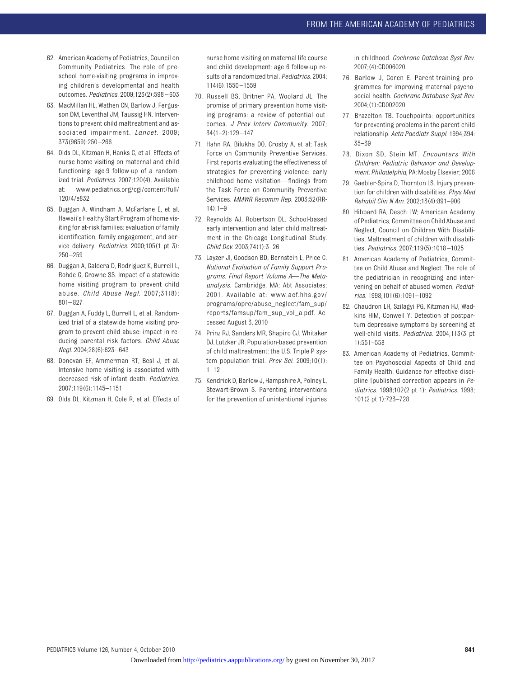- <span id="page-8-0"></span>62. American Academy of Pediatrics, Council on Community Pediatrics. The role of preschool home-visiting programs in improving children's developmental and health outcomes. *Pediatrics*. 2009;123(2):598 – 603
- 63. MacMillan HL, Wathen CN, Barlow J, Fergusson DM, Leventhal JM, Taussig HN. Interventions to prevent child maltreatment and associated impairment. *Lancet*. 2009; 373(9659):250 –266
- 64. Olds DL, Kitzman H, Hanks C, et al. Effects of nurse home visiting on maternal and child functioning: age-9 follow-up of a randomized trial. *Pediatrics*. 2007;120(4). Available at: [www.pediatrics.org/cgi/content/full/](www.pediatrics.org/cgi/content/full/120/4/e832) [120/4/e832](www.pediatrics.org/cgi/content/full/120/4/e832)
- 65. Duggan A, Windham A, McFarlane E, et al. Hawaii's Healthy Start Program of home visiting for at-risk families: evaluation of family identification, family engagement, and service delivery. *Pediatrics*. 2000;105(1 pt 3): 250 –259
- 66. Duggan A, Caldera D, Rodriguez K, Burrell L, Rohde C, Crowne SS. Impact of a statewide home visiting program to prevent child abuse. *Child Abuse Negl*. 2007;31(8): 801– 827
- 67. Duggan A, Fuddy L, Burrell L, et al. Randomized trial of a statewide home visiting program to prevent child abuse: impact in reducing parental risk factors. *Child Abuse Negl*. 2004;28(6):623– 643
- 68. Donovan EF, Ammerman RT, Besl J, et al. Intensive home visiting is associated with decreased risk of infant death. *Pediatrics*. 2007;119(6):1145–1151
- 69. Olds DL, Kitzman H, Cole R, et al. Effects of

nurse home-visiting on maternal life course and child development: age 6 follow-up results of a randomized trial. *Pediatrics*. 2004; 114(6):1550 –1559

- 70. Russell BS, Britner PA, Woolard JL. The promise of primary prevention home visiting programs: a review of potential outcomes. *J Prev Interv Community*. 2007; 34(1–2):129 –147
- 71. Hahn RA, Bilukha OO, Crosby A, et al; Task Force on Community Preventive Services. First reports evaluating the effectiveness of strategies for preventing violence: early childhood home visitation—findings from the Task Force on Community Preventive Services. *MMWR Recomm Rep*. 2003;52(RR-14):1–9
- 72. Reynolds AJ, Robertson DL. School-based early intervention and later child maltreatment in the Chicago Longitudinal Study. *Child Dev*. 2003;74(1):3–26
- 73. Layzer JI, Goodson BD, Bernstein L, Price C. *National Evaluation of Family Support Programs. Final Report Volume A*—*The Metaanalysis*. Cambridge, MA: Abt Associates; 2001. Available at: [www.acf.hhs.gov/](www.acf.hhs.gov/programs/opre/abuse_neglect/fam_sup/reports/famsup/fam_sup_vol_a.pdf) [programs/opre/abuse\\_neglect/fam\\_sup/](www.acf.hhs.gov/programs/opre/abuse_neglect/fam_sup/reports/famsup/fam_sup_vol_a.pdf) [reports/famsup/fam\\_sup\\_vol\\_a.pdf.](www.acf.hhs.gov/programs/opre/abuse_neglect/fam_sup/reports/famsup/fam_sup_vol_a.pdf) Accessed August 3, 2010
- 74. Prinz RJ, Sanders MR, Shapiro CJ, Whitaker DJ, Lutzker JR. Population-based prevention of child maltreatment: the U.S. Triple P system population trial. *Prev Sci*. 2009;10(1):  $1 - 12$
- 75. Kendrick D, Barlow J, Hampshire A, Polney L, Stewart-Brown S. Parenting interventions for the prevention of unintentional injuries

in childhood. *Cochrane Database Syst Rev*. 2007;(4):CD006020

- 76. Barlow J, Coren E. Parent-training programmes for improving maternal psychosocial health. *Cochrane Database Syst Rev*. 2004;(1):CD002020
- 77. Brazelton TB. Touchpoints: opportunities for preventing problems in the parent-child relationship. *Acta Paediatr Suppl*. 1994;394: 35–39
- 78. Dixon SD, Stein MT. *Encounters With Children: Pediatric Behavior and Development. Philadelphia,* PA: Mosby Elsevier; 2006
- 79. Gaebler-Spira D, Thornton LS. Injury prevention for children with disabilities. *Phys Med Rehabil Clin N Am*. 2002;13(4):891–906
- 80. Hibbard RA, Desch LW; American Academy of Pediatrics, Committee on Child Abuse and Neglect, Council on Children With Disabilities. Maltreatment of children with disabilities. *Pediatrics*. 2007;119(5):1018 –1025
- 81. American Academy of Pediatrics, Committee on Child Abuse and Neglect. The role of the pediatrician in recognizing and intervening on behalf of abused women. *Pediatrics*. 1998;101(6):1091–1092
- 82. Chaudron LH, Szilagyi PG, Kitzman HJ, Wadkins HIM, Conwell Y. Detection of postpartum depressive symptoms by screening at well-child visits. *Pediatrics*. 2004;113(3 pt 1):551–558
- 83. American Academy of Pediatrics, Committee on Psychosocial Aspects of Child and Family Health. Guidance for effective discipline [published correction appears in *Pediatrics*. 1998;102(2 pt 1): *Pediatrics*. 1998; 101(2 pt 1):723–728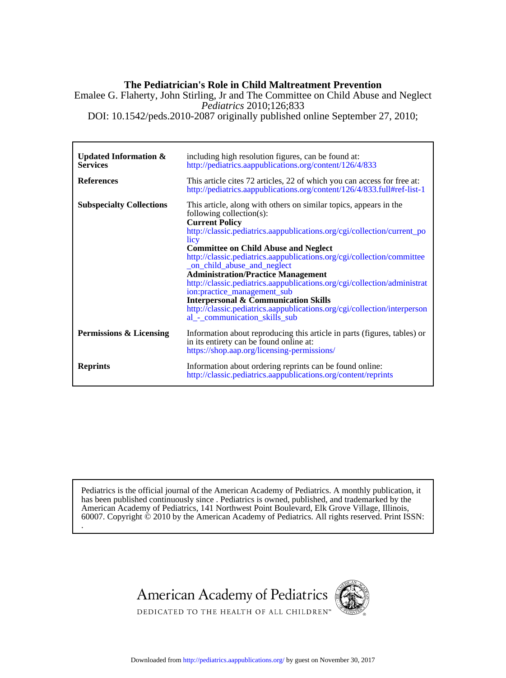# **The Pediatrician's Role in Child Maltreatment Prevention**

DOI: 10.1542/peds.2010-2087 originally published online September 27, 2010; *Pediatrics* 2010;126;833 Emalee G. Flaherty, John Stirling, Jr and The Committee on Child Abuse and Neglect

| <b>Updated Information &amp;</b><br><b>Services</b><br><b>References</b> | including high resolution figures, can be found at:<br>http://pediatrics.aappublications.org/content/126/4/833<br>This article cites 72 articles, 22 of which you can access for free at:<br>http://pediatrics.aappublications.org/content/126/4/833.full#ref-list-1                                                                                                                                                                                                                                                                                                                                                                                                                     |
|--------------------------------------------------------------------------|------------------------------------------------------------------------------------------------------------------------------------------------------------------------------------------------------------------------------------------------------------------------------------------------------------------------------------------------------------------------------------------------------------------------------------------------------------------------------------------------------------------------------------------------------------------------------------------------------------------------------------------------------------------------------------------|
| <b>Subspecialty Collections</b>                                          | This article, along with others on similar topics, appears in the<br>following collection(s):<br><b>Current Policy</b><br>http://classic.pediatrics.aappublications.org/cgi/collection/current_po<br>licy<br><b>Committee on Child Abuse and Neglect</b><br>http://classic.pediatrics.aappublications.org/cgi/collection/committee<br>on_child_abuse_and_neglect<br><b>Administration/Practice Management</b><br>http://classic.pediatrics.aappublications.org/cgi/collection/administrat<br>ion:practice_management_sub<br><b>Interpersonal &amp; Communication Skills</b><br>http://classic.pediatrics.aappublications.org/cgi/collection/interperson<br>al_-_communication_skills_sub |
| Permissions & Licensing                                                  | Information about reproducing this article in parts (figures, tables) or<br>in its entirety can be found online at:<br>https://shop.aap.org/licensing-permissions/                                                                                                                                                                                                                                                                                                                                                                                                                                                                                                                       |
| <b>Reprints</b>                                                          | Information about ordering reprints can be found online:<br>http://classic.pediatrics.aappublications.org/content/reprints                                                                                                                                                                                                                                                                                                                                                                                                                                                                                                                                                               |

. 60007. Copyright © 2010 by the American Academy of Pediatrics. All rights reserved. Print ISSN: American Academy of Pediatrics, 141 Northwest Point Boulevard, Elk Grove Village, Illinois, has been published continuously since . Pediatrics is owned, published, and trademarked by the Pediatrics is the official journal of the American Academy of Pediatrics. A monthly publication, it